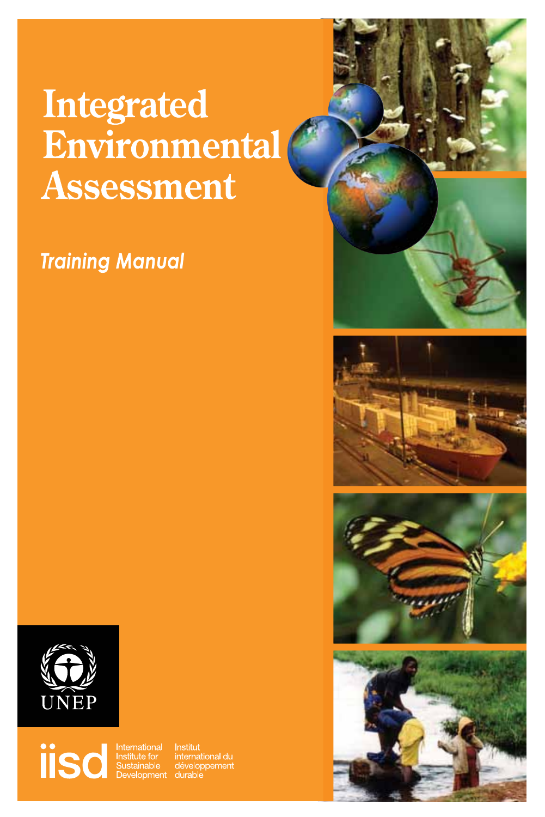# **Integrated** Environmental Assessment

## **Training Manual**









**ISCO Sustainable** 

Institut<br>international du<br>développement durable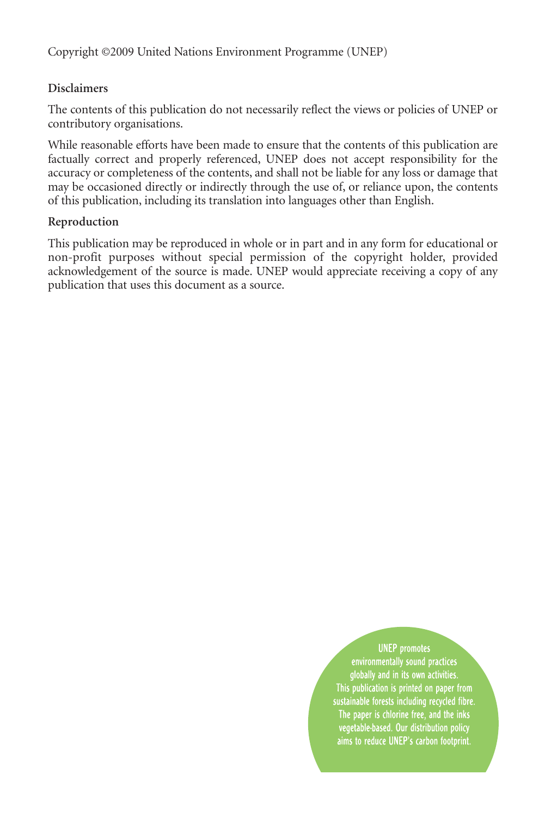Copyright ©2009 United Nations Environment Programme (UNEP)

### **Disclaimers**

The contents of this publication do not necessarily reflect the views or policies of UNEP or contributory organisations.

While reasonable efforts have been made to ensure that the contents of this publication are factually correct and properly referenced, UNEP does not accept responsibility for the accuracy or completeness of the contents, and shall not be liable for any loss or damage that may be occasioned directly or indirectly through the use of, or reliance upon, the contents of this publication, including its translation into languages other than English.

### **Reproduction**

This publication may be reproduced in whole or in part and in any form for educational or non-profit purposes without special permission of the copyright holder, provided acknowledgement of the source is made. UNEP would appreciate receiving a copy of any publication that uses this document as a source.

> **UNEP** promotes environmentally sound practices globally and in its own activities. This publication is printed on paper from sustainable forests including recycled fibre. The paper is chlorine free, and the inks vegetable-based. Our distribution policy aims to reduce UNEP's carbon footprint.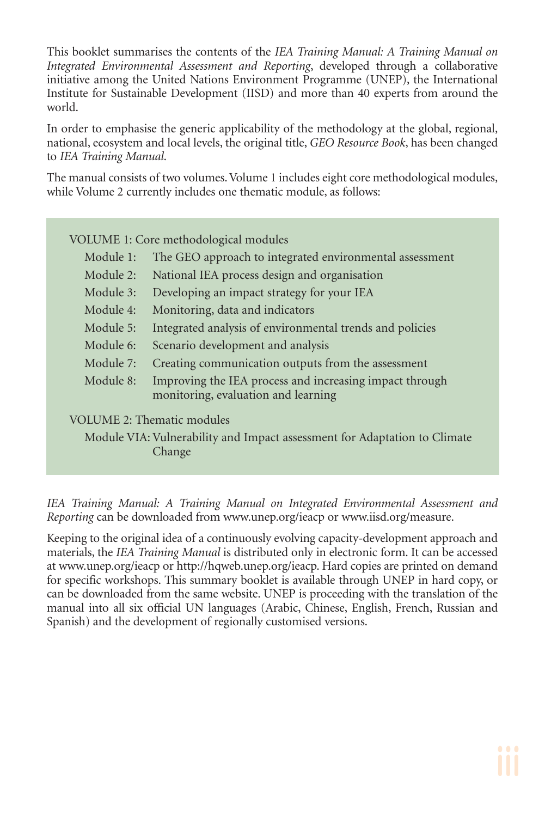This booklet summarises the contents of the *IEA Training Manual: A Training Manual on Integrated Environmental Assessment and Reporting*, developed through a collaborative initiative among the United Nations Environment Programme (UNEP), the International Institute for Sustainable Development (IISD) and more than 40 experts from around the world.

In order to emphasise the generic applicability of the methodology at the global, regional, national, ecosystem and local levels, the original title, *GEO Resource Book*, has been changed to *IEA Training Manual*.

The manual consists of two volumes. Volume 1 includes eight core methodological modules, while Volume 2 currently includes one thematic module, as follows:

| VOLUME 1: Core methodological modules                                     |                                                                                                |
|---------------------------------------------------------------------------|------------------------------------------------------------------------------------------------|
| Module 1:                                                                 | The GEO approach to integrated environmental assessment                                        |
| Module 2:                                                                 | National IEA process design and organisation                                                   |
| Module 3:                                                                 | Developing an impact strategy for your IEA                                                     |
| Module 4:                                                                 | Monitoring, data and indicators                                                                |
| Module 5:                                                                 | Integrated analysis of environmental trends and policies                                       |
| Module 6:                                                                 | Scenario development and analysis                                                              |
| Module 7:                                                                 | Creating communication outputs from the assessment                                             |
| Module 8:                                                                 | Improving the IEA process and increasing impact through<br>monitoring, evaluation and learning |
| <b>VOLUME 2: Thematic modules</b>                                         |                                                                                                |
| Module VIA: Vulnerability and Impact assessment for Adaptation to Climate |                                                                                                |

Change

*IEA Training Manual: A Training Manual on Integrated Environmental Assessment and Reporting* can be downloaded from www.unep.org/ieacp or www.iisd.org/measure.

Keeping to the original idea of a continuously evolving capacity-development approach and materials, the *IEA Training Manual* is distributed only in electronic form. It can be accessed at www.unep.org/ieacp or http://hqweb.unep.org/ieacp. Hard copies are printed on demand for specific workshops. This summary booklet is available through UNEP in hard copy, or can be downloaded from the same website. UNEP is proceeding with the translation of the manual into all six official UN languages (Arabic, Chinese, English, French, Russian and Spanish) and the development of regionally customised versions.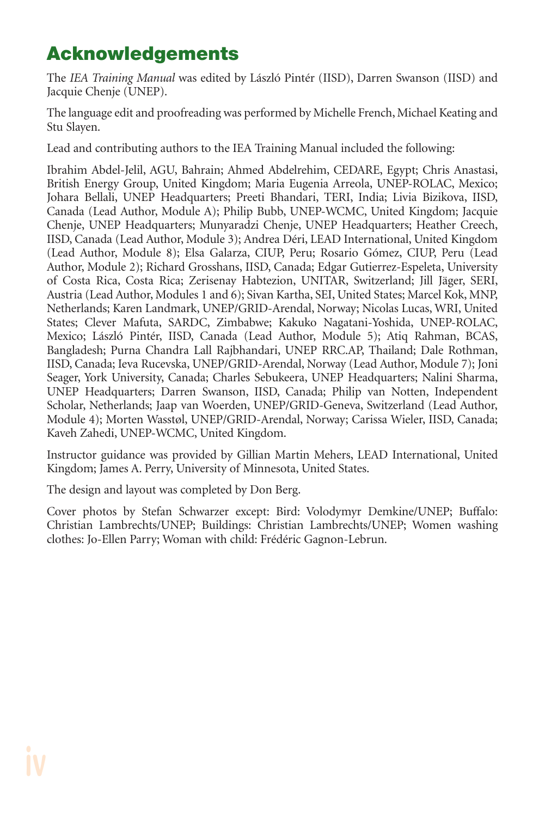## **Acknowledgements**

The *IEA Training Manual* was edited by László Pintér (IISD), Darren Swanson (IISD) and Jacquie Chenje (UNEP).

The language edit and proofreading was performed by Michelle French, Michael Keating and Stu Slayen.

Lead and contributing authors to the IEA Training Manual included the following:

Ibrahim Abdel-Jelil, AGU, Bahrain; Ahmed Abdelrehim, CEDARE, Egypt; Chris Anastasi, British Energy Group, United Kingdom; Maria Eugenia Arreola, UNEP-ROLAC, Mexico; Johara Bellali, UNEP Headquarters; Preeti Bhandari, TERI, India; Livia Bizikova, IISD, Canada (Lead Author, Module A); Philip Bubb, UNEP-WCMC, United Kingdom; Jacquie Chenje, UNEP Headquarters; Munyaradzi Chenje, UNEP Headquarters; Heather Creech, IISD, Canada (Lead Author, Module 3); Andrea Déri, LEAD International, United Kingdom (Lead Author, Module 8); Elsa Galarza, CIUP, Peru; Rosario Gómez, CIUP, Peru (Lead Author, Module 2); Richard Grosshans, IISD, Canada; Edgar Gutierrez-Espeleta, University of Costa Rica, Costa Rica; Zerisenay Habtezion, UNITAR, Switzerland; Jill Jäger, SERI, Austria (Lead Author, Modules 1 and 6); Sivan Kartha, SEI, United States; Marcel Kok, MNP, Netherlands; Karen Landmark, UNEP/GRID-Arendal, Norway; Nicolas Lucas, WRI, United States; Clever Mafuta, SARDC, Zimbabwe; Kakuko Nagatani-Yoshida, UNEP-ROLAC, Mexico; László Pintér, IISD, Canada (Lead Author, Module 5); Atiq Rahman, BCAS, Bangladesh; Purna Chandra Lall Rajbhandari, UNEP RRC.AP, Thailand; Dale Rothman, IISD, Canada; Ieva Rucevska, UNEP/GRID-Arendal, Norway (Lead Author, Module 7); Joni Seager, York University, Canada; Charles Sebukeera, UNEP Headquarters; Nalini Sharma, UNEP Headquarters; Darren Swanson, IISD, Canada; Philip van Notten, Independent Scholar, Netherlands; Jaap van Woerden, UNEP/GRID-Geneva, Switzerland (Lead Author, Module 4); Morten Wasstøl, UNEP/GRID-Arendal, Norway; Carissa Wieler, IISD, Canada; Kaveh Zahedi, UNEP-WCMC, United Kingdom.

Instructor guidance was provided by Gillian Martin Mehers, LEAD International, United Kingdom; James A. Perry, University of Minnesota, United States.

The design and layout was completed by Don Berg.

Cover photos by Stefan Schwarzer except: Bird: Volodymyr Demkine/UNEP; Buffalo: Christian Lambrechts/UNEP; Buildings: Christian Lambrechts/UNEP; Women washing clothes: Jo-Ellen Parry; Woman with child: Frédéric Gagnon-Lebrun.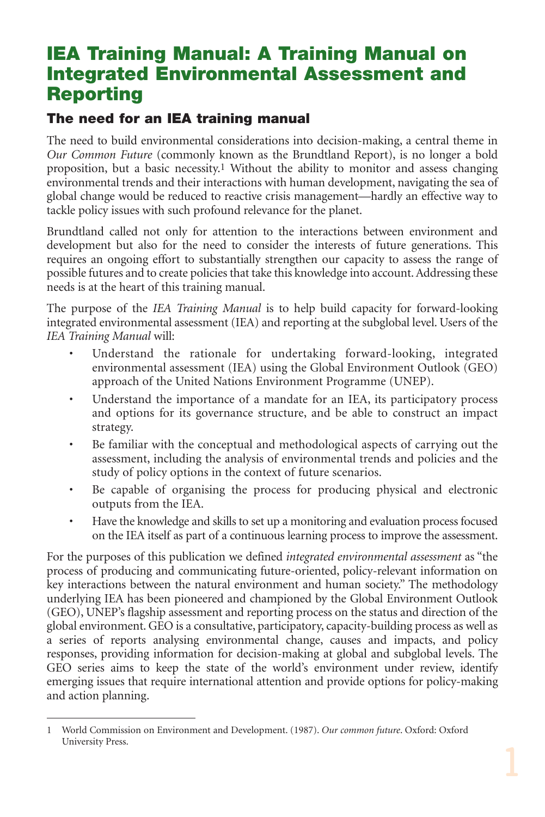## **IEA Training Manual: A Training Manual on Integrated Environmental Assessment and Reporting**

### **The need for an IEA training manual**

The need to build environmental considerations into decision-making, a central theme in *Our Common Future* (commonly known as the Brundtland Report), is no longer a bold proposition, but a basic necessity.1 Without the ability to monitor and assess changing environmental trends and their interactions with human development, navigating the sea of global change would be reduced to reactive crisis management—hardly an effective way to tackle policy issues with such profound relevance for the planet.

Brundtland called not only for attention to the interactions between environment and development but also for the need to consider the interests of future generations. This requires an ongoing effort to substantially strengthen our capacity to assess the range of possible futures and to create policies that take this knowledge into account. Addressing these needs is at the heart of this training manual.

The purpose of the *IEA Training Manual* is to help build capacity for forward-looking integrated environmental assessment (IEA) and reporting at the subglobal level. Users of the *IEA Training Manual* will:

- Understand the rationale for undertaking forward-looking, integrated environmental assessment (IEA) using the Global Environment Outlook (GEO) approach of the United Nations Environment Programme (UNEP).
- Understand the importance of a mandate for an IEA, its participatory process and options for its governance structure, and be able to construct an impact strategy.
- Be familiar with the conceptual and methodological aspects of carrying out the assessment, including the analysis of environmental trends and policies and the study of policy options in the context of future scenarios.
- Be capable of organising the process for producing physical and electronic outputs from the IEA.
- Have the knowledge and skills to set up a monitoring and evaluation process focused on the IEA itself as part of a continuous learning process to improve the assessment.

For the purposes of this publication we defined *integrated environmental assessment* as "the process of producing and communicating future-oriented, policy-relevant information on key interactions between the natural environment and human society." The methodology underlying IEA has been pioneered and championed by the Global Environment Outlook (GEO), UNEP's flagship assessment and reporting process on the status and direction of the global environment. GEO is a consultative, participatory, capacity-building process as well as a series of reports analysing environmental change, causes and impacts, and policy responses, providing information for decision-making at global and subglobal levels. The GEO series aims to keep the state of the world's environment under review, identify emerging issues that require international attention and provide options for policy-making and action planning.

<sup>1</sup> World Commission on Environment and Development. (1987). *Our common future*. Oxford: Oxford University Press.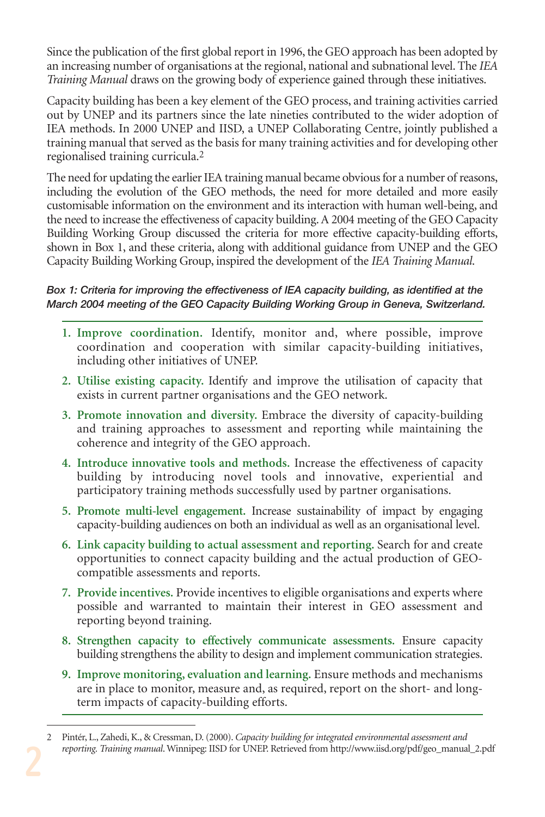Since the publication of the first global report in 1996, the GEO approach has been adopted by an increasing number of organisations at the regional, national and subnational level. The *IEA Training Manual* draws on the growing body of experience gained through these initiatives.

Capacity building has been a key element of the GEO process, and training activities carried out by UNEP and its partners since the late nineties contributed to the wider adoption of IEA methods. In 2000 UNEP and IISD, a UNEP Collaborating Centre, jointly published a training manual that served as the basis for many training activities and for developing other regionalised training curricula.2

The need for updating the earlier IEA training manual became obvious for a number of reasons, including the evolution of the GEO methods, the need for more detailed and more easily customisable information on the environment and its interaction with human well-being, and the need to increase the effectiveness of capacity building. A 2004 meeting of the GEO Capacity Building Working Group discussed the criteria for more effective capacity-building efforts, shown in Box 1, and these criteria, along with additional guidance from UNEP and the GEO Capacity Building Working Group, inspired the development of the *IEA Training Manual*.

### *Box 1: Criteria for improving the effectiveness of IEA capacity building, as identified at the March 2004 meeting of the GEO Capacity Building Working Group in Geneva, Switzerland.*

- **1. Improve coordination.** Identify, monitor and, where possible, improve coordination and cooperation with similar capacity-building initiatives, including other initiatives of UNEP.
- **2. Utilise existing capacity.** Identify and improve the utilisation of capacity that exists in current partner organisations and the GEO network.
- **3. Promote innovation and diversity.** Embrace the diversity of capacity-building and training approaches to assessment and reporting while maintaining the coherence and integrity of the GEO approach.
- **4. Introduce innovative tools and methods.** Increase the effectiveness of capacity building by introducing novel tools and innovative, experiential and participatory training methods successfully used by partner organisations.
- **5. Promote multi-level engagement.** Increase sustainability of impact by engaging capacity-building audiences on both an individual as well as an organisational level.
- **6. Link capacity building to actual assessment and reporting.** Search for and create opportunities to connect capacity building and the actual production of GEOcompatible assessments and reports.
- **7. Provide incentives.** Provide incentives to eligible organisations and experts where possible and warranted to maintain their interest in GEO assessment and reporting beyond training.
- **8. Strengthen capacity to effectively communicate assessments.** Ensure capacity building strengthens the ability to design and implement communication strategies.
- **9. Improve monitoring, evaluation and learning.** Ensure methods and mechanisms are in place to monitor, measure and, as required, report on the short- and longterm impacts of capacity-building efforts.

<sup>2</sup> Pintér, L., Zahedi, K., & Cressman, D. (2000). *Capacity building for integrated environmental assessment and reporting. Training manual*. Winnipeg: IISD for UNEP. Retrieved from http://www.iisd.org/pdf/geo\_manual\_2.pdf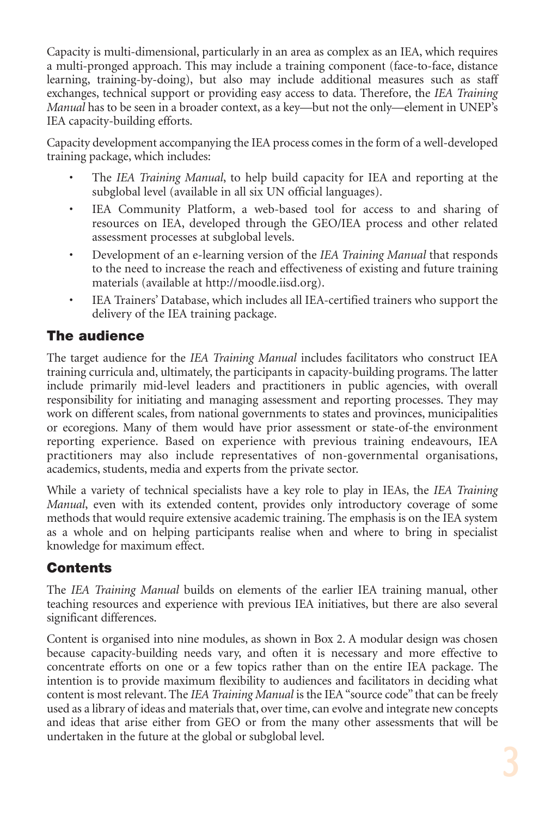Capacity is multi-dimensional, particularly in an area as complex as an IEA, which requires a multi-pronged approach. This may include a training component (face-to-face, distance learning, training-by-doing), but also may include additional measures such as staff exchanges, technical support or providing easy access to data. Therefore, the *IEA Training Manual* has to be seen in a broader context, as a key—but not the only—element in UNEP's IEA capacity-building efforts.

Capacity development accompanying the IEA process comes in the form of a well-developed training package, which includes:

- The *IEA Training Manual*, to help build capacity for IEA and reporting at the subglobal level (available in all six UN official languages).
- IEA Community Platform, a web-based tool for access to and sharing of resources on IEA, developed through the GEO/IEA process and other related assessment processes at subglobal levels.
- Development of an e-learning version of the *IEA Training Manual* that responds to the need to increase the reach and effectiveness of existing and future training materials (available at http://moodle.iisd.org).
- IEA Trainers' Database, which includes all IEA-certified trainers who support the delivery of the IEA training package.

## **The audience**

The target audience for the *IEA Training Manual* includes facilitators who construct IEA training curricula and, ultimately, the participants in capacity-building programs. The latter include primarily mid-level leaders and practitioners in public agencies, with overall responsibility for initiating and managing assessment and reporting processes. They may work on different scales, from national governments to states and provinces, municipalities or ecoregions. Many of them would have prior assessment or state-of-the environment reporting experience. Based on experience with previous training endeavours, IEA practitioners may also include representatives of non-governmental organisations, academics, students, media and experts from the private sector.

While a variety of technical specialists have a key role to play in IEAs, the *IEA Training Manual*, even with its extended content, provides only introductory coverage of some methods that would require extensive academic training. The emphasis is on the IEA system as a whole and on helping participants realise when and where to bring in specialist knowledge for maximum effect.

## **Contents**

The *IEA Training Manual* builds on elements of the earlier IEA training manual, other teaching resources and experience with previous IEA initiatives, but there are also several significant differences.

Content is organised into nine modules, as shown in Box 2. A modular design was chosen because capacity-building needs vary, and often it is necessary and more effective to concentrate efforts on one or a few topics rather than on the entire IEA package. The intention is to provide maximum flexibility to audiences and facilitators in deciding what content is most relevant. The *IEA Training Manual* is the IEA "source code" that can be freely used as a library of ideas and materials that, over time, can evolve and integrate new concepts and ideas that arise either from GEO or from the many other assessments that will be undertaken in the future at the global or subglobal level.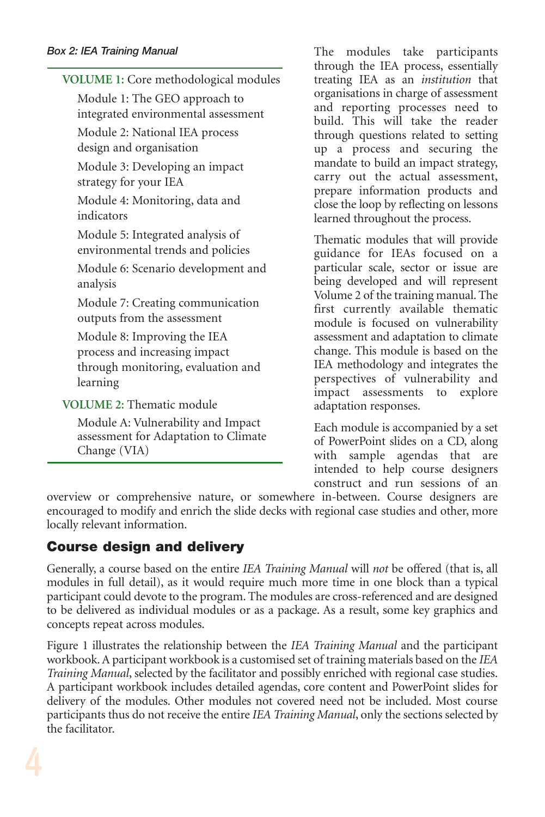### *Box 2: IEA Training Manual*

| VOLUME 1: Core methodological modules                                                                          |
|----------------------------------------------------------------------------------------------------------------|
| Module 1: The GEO approach to<br>integrated environmental assessment                                           |
| Module 2: National IEA process<br>design and organisation                                                      |
| Module 3: Developing an impact<br>strategy for your IEA                                                        |
| Module 4: Monitoring, data and<br>indicators                                                                   |
| Module 5: Integrated analysis of<br>environmental trends and policies                                          |
| Module 6: Scenario development and<br>analysis                                                                 |
| Module 7: Creating communication<br>outputs from the assessment                                                |
| Module 8: Improving the IEA<br>process and increasing impact<br>through monitoring, evaluation and<br>learning |
| <b>VOLUME 2: Thematic module</b>                                                                               |
| Module 4: Vulnershility and Impact                                                                             |

Module A: Vulnerability and Impact assessment for Adaptation to Climate Change (VIA)

The modules take participants through the IEA process, essentially treating IEA as an *institution* that organisations in charge of assessment and reporting processes need to build. This will take the reader through questions related to setting up a process and securing the mandate to build an impact strategy, carry out the actual assessment, prepare information products and close the loop by reflecting on lessons learned throughout the process.

Thematic modules that will provide guidance for IEAs focused on a particular scale, sector or issue are being developed and will represent Volume 2 of the training manual. The first currently available thematic module is focused on vulnerability assessment and adaptation to climate change. This module is based on the IEA methodology and integrates the perspectives of vulnerability and impact assessments to explore adaptation responses.

Each module is accompanied by a set of PowerPoint slides on a CD, along with sample agendas that are intended to help course designers construct and run sessions of an

overview or comprehensive nature, or somewhere in-between. Course designers are encouraged to modify and enrich the slide decks with regional case studies and other, more locally relevant information.

## **Course design and delivery**

Generally, a course based on the entire *IEA Training Manual* will *not* be offered (that is, all modules in full detail), as it would require much more time in one block than a typical participant could devote to the program. The modules are cross-referenced and are designed to be delivered as individual modules or as a package. As a result, some key graphics and concepts repeat across modules.

Figure 1 illustrates the relationship between the *IEA Training Manual* and the participant workbook. A participant workbook is a customised set of training materials based on the *IEA Training Manual*, selected by the facilitator and possibly enriched with regional case studies. A participant workbook includes detailed agendas, core content and PowerPoint slides for delivery of the modules. Other modules not covered need not be included. Most course participants thus do not receive the entire *IEA Training Manual*, only the sections selected by the facilitator.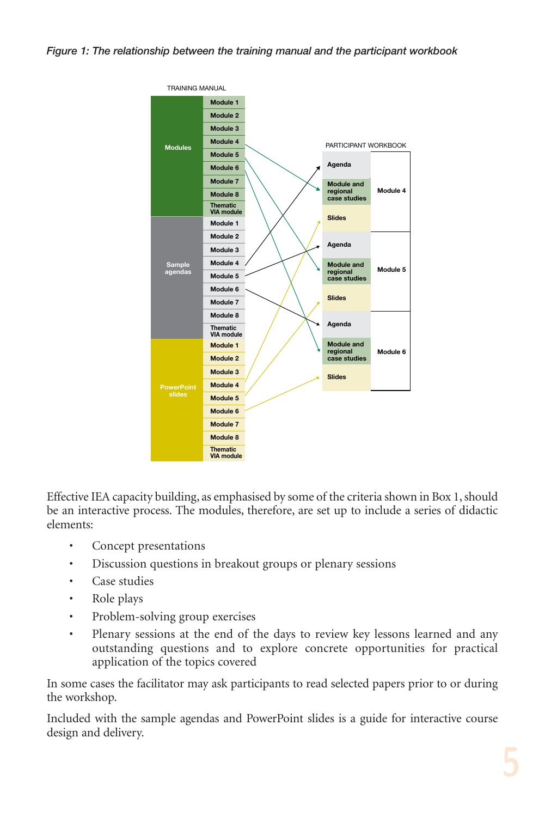#### *Figure 1: The relationship between the training manual and the participant workbook*



Effective IEA capacity building, as emphasised by some of the criteria shown in Box 1, should be an interactive process. The modules, therefore, are set up to include a series of didactic elements:

- Concept presentations
- Discussion questions in breakout groups or plenary sessions
- Case studies
- Role plays
- Problem-solving group exercises
- Plenary sessions at the end of the days to review key lessons learned and any outstanding questions and to explore concrete opportunities for practical application of the topics covered

In some cases the facilitator may ask participants to read selected papers prior to or during the workshop.

Included with the sample agendas and PowerPoint slides is a guide for interactive course design and delivery.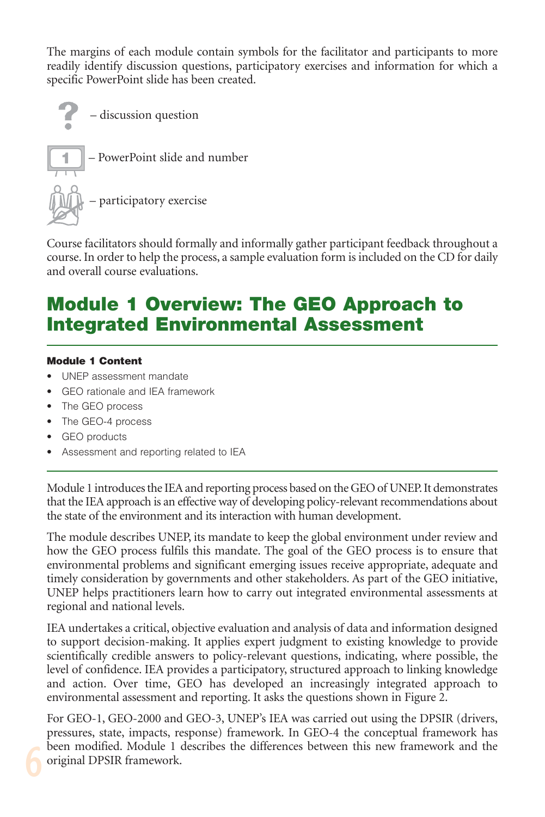The margins of each module contain symbols for the facilitator and participants to more readily identify discussion questions, participatory exercises and information for which a specific PowerPoint slide has been created.



Course facilitators should formally and informally gather participant feedback throughout a course. In order to help the process, a sample evaluation form is included on the CD for daily and overall course evaluations.

## **Module 1 Overview: The GEO Approach to Integrated Environmental Assessment**

#### **Module 1 Content**

- UNEP assessment mandate
- GEO rationale and IEA framework
- The GEO process
- The GEO-4 process
- GEO products
- Assessment and reporting related to IEA

Module 1 introduces the IEA and reporting process based on the GEO of UNEP. It demonstrates that the IEA approach is an effective way of developing policy-relevant recommendations about the state of the environment and its interaction with human development.

The module describes UNEP, its mandate to keep the global environment under review and how the GEO process fulfils this mandate. The goal of the GEO process is to ensure that environmental problems and significant emerging issues receive appropriate, adequate and timely consideration by governments and other stakeholders. As part of the GEO initiative, UNEP helps practitioners learn how to carry out integrated environmental assessments at regional and national levels.

IEA undertakes a critical, objective evaluation and analysis of data and information designed to support decision-making. It applies expert judgment to existing knowledge to provide scientifically credible answers to policy-relevant questions, indicating, where possible, the level of confidence. IEA provides a participatory, structured approach to linking knowledge and action. Over time, GEO has developed an increasingly integrated approach to environmental assessment and reporting. It asks the questions shown in Figure 2.

For GEO-1, GEO-2000 and GEO-3, UNEP's IEA was carried out using the DPSIR (drivers, pressures, state, impacts, response) framework. In GEO-4 the conceptual framework has been modified. Module 1 describes the differences between this new framework and the original DPSIR framework.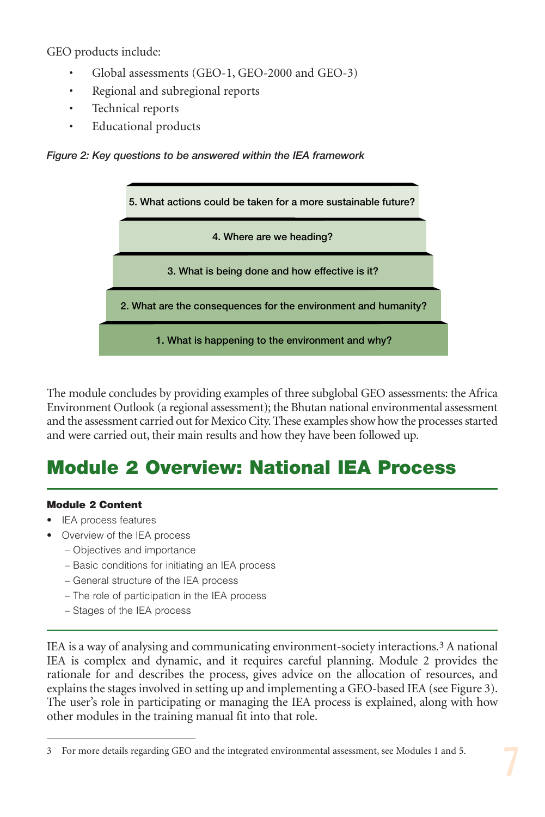GEO products include:

- Global assessments (GEO-1, GEO-2000 and GEO-3)
- Regional and subregional reports
- Technical reports
- Educational products





The module concludes by providing examples of three subglobal GEO assessments: the Africa Environment Outlook (a regional assessment); the Bhutan national environmental assessment and the assessment carried out for Mexico City. These examples show how the processes started and were carried out, their main results and how they have been followed up.

## **Module 2 Overview: National IEA Process**

#### **Module 2 Content**

- IEA process features
- Overview of the IEA process
	- Objectives and importance
	- Basic conditions for initiating an IEA process
	- General structure of the IEA process
	- The role of participation in the IEA process
	- Stages of the IEA process

IEA is a way of analysing and communicating environment-society interactions.<sup>3</sup> A national IEA is complex and dynamic, and it requires careful planning. Module 2 provides the rationale for and describes the process, gives advice on the allocation of resources, and explains the stages involved in setting up and implementing a GEO-based IEA (see Figure 3). The user's role in participating or managing the IEA process is explained, along with how other modules in the training manual fit into that role.

<sup>3</sup> For more details regarding GEO and the integrated environmental assessment, see Modules 1 and 5.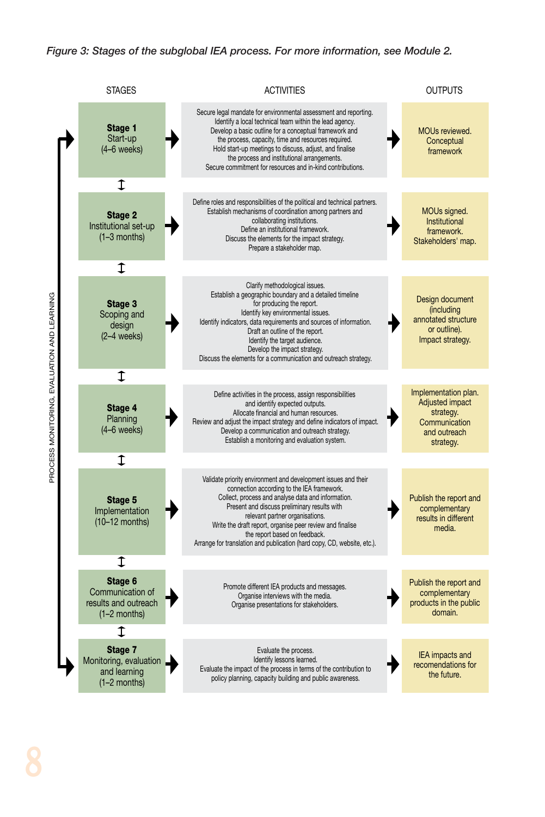#### *Figure 3: Stages of the subglobal IEA process. For more information, see Module 2.*

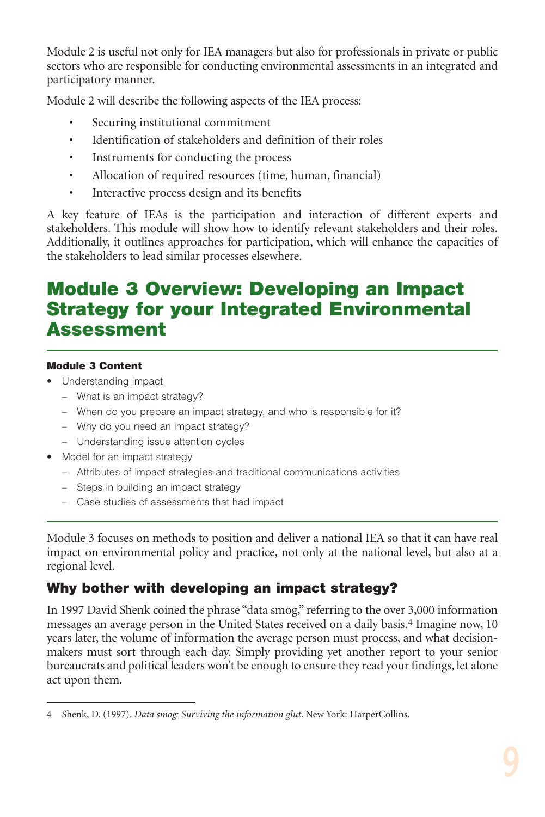Module 2 is useful not only for IEA managers but also for professionals in private or public sectors who are responsible for conducting environmental assessments in an integrated and participatory manner.

Module 2 will describe the following aspects of the IEA process:

- Securing institutional commitment
- Identification of stakeholders and definition of their roles
- Instruments for conducting the process
- Allocation of required resources (time, human, financial)
- Interactive process design and its benefits

A key feature of IEAs is the participation and interaction of different experts and stakeholders. This module will show how to identify relevant stakeholders and their roles. Additionally, it outlines approaches for participation, which will enhance the capacities of the stakeholders to lead similar processes elsewhere.

## **Module 3 Overview: Developing an Impact Strategy for your Integrated Environmental Assessment**

### **Module 3 Content**

- Understanding impact
	- What is an impact strategy?
	- When do you prepare an impact strategy, and who is responsible for it?
	- Why do you need an impact strategy?
	- Understanding issue attention cycles
- Model for an impact strategy
	- Attributes of impact strategies and traditional communications activities
	- Steps in building an impact strategy
	- Case studies of assessments that had impact

Module 3 focuses on methods to position and deliver a national IEA so that it can have real impact on environmental policy and practice, not only at the national level, but also at a regional level.

## **Why bother with developing an impact strategy?**

In 1997 David Shenk coined the phrase "data smog," referring to the over 3,000 information messages an average person in the United States received on a daily basis.4 Imagine now, 10 years later, the volume of information the average person must process, and what decisionmakers must sort through each day. Simply providing yet another report to your senior bureaucrats and political leaders won't be enough to ensure they read your findings, let alone act upon them.

<sup>4</sup> Shenk, D. (1997). *Data smog: Surviving the information glut*. New York: HarperCollins.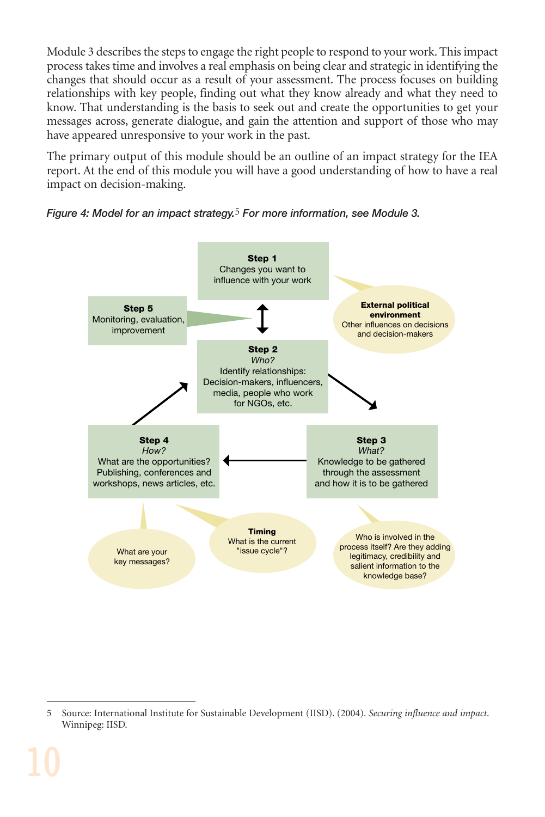Module 3 describes the steps to engage the right people to respond to your work. This impact process takes time and involves a real emphasis on being clear and strategic in identifying the changes that should occur as a result of your assessment. The process focuses on building relationships with key people, finding out what they know already and what they need to know. That understanding is the basis to seek out and create the opportunities to get your messages across, generate dialogue, and gain the attention and support of those who may have appeared unresponsive to your work in the past.

The primary output of this module should be an outline of an impact strategy for the IEA report. At the end of this module you will have a good understanding of how to have a real impact on decision-making.





<sup>5</sup> Source: International Institute for Sustainable Development (IISD). (2004). *Securing influence and impact*. Winnipeg: IISD.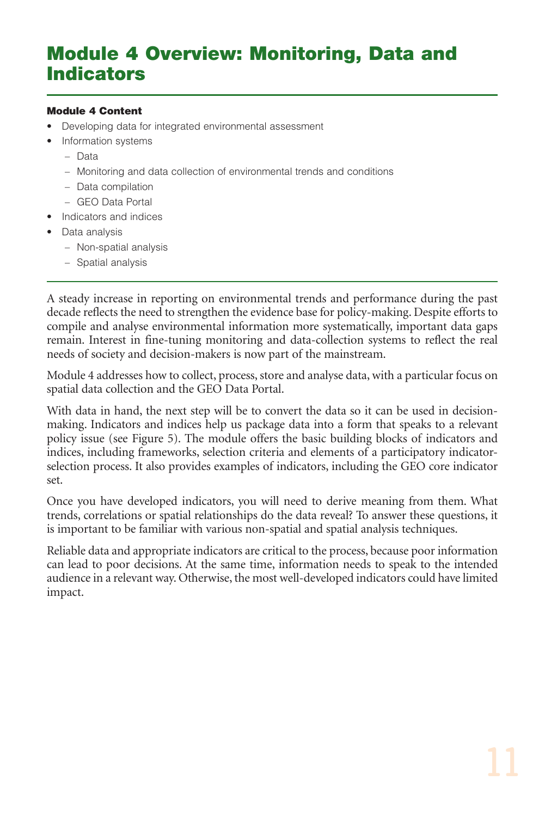## **Module 4 Overview: Monitoring, Data and Indicators**

#### **Module 4 Content**

- Developing data for integrated environmental assessment
- Information systems
	- Data
	- Monitoring and data collection of environmental trends and conditions
	- Data compilation
	- GEO Data Portal
- Indicators and indices
- Data analysis
	- Non-spatial analysis
	- Spatial analysis

A steady increase in reporting on environmental trends and performance during the past decade reflects the need to strengthen the evidence base for policy-making. Despite efforts to compile and analyse environmental information more systematically, important data gaps remain. Interest in fine-tuning monitoring and data-collection systems to reflect the real needs of society and decision-makers is now part of the mainstream.

Module 4 addresses how to collect, process, store and analyse data, with a particular focus on spatial data collection and the GEO Data Portal.

With data in hand, the next step will be to convert the data so it can be used in decisionmaking. Indicators and indices help us package data into a form that speaks to a relevant policy issue (see Figure 5). The module offers the basic building blocks of indicators and indices, including frameworks, selection criteria and elements of a participatory indicatorselection process. It also provides examples of indicators, including the GEO core indicator set.

Once you have developed indicators, you will need to derive meaning from them. What trends, correlations or spatial relationships do the data reveal? To answer these questions, it is important to be familiar with various non-spatial and spatial analysis techniques.

Reliable data and appropriate indicators are critical to the process, because poor information can lead to poor decisions. At the same time, information needs to speak to the intended audience in a relevant way. Otherwise, the most well-developed indicators could have limited impact.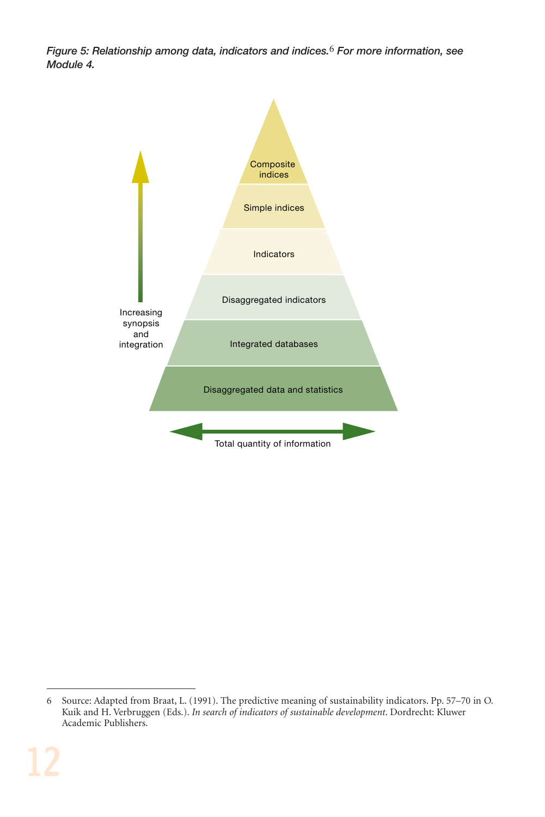*Figure 5: Relationship among data, indicators and indices.*6 *For more information, see Module 4.*



<sup>6</sup> Source: Adapted from Braat, L. (1991). The predictive meaning of sustainability indicators. Pp. 57–70 in O. Kuik and H. Verbruggen (Eds.). *In search of indicators of sustainable development*. Dordrecht: Kluwer Academic Publishers.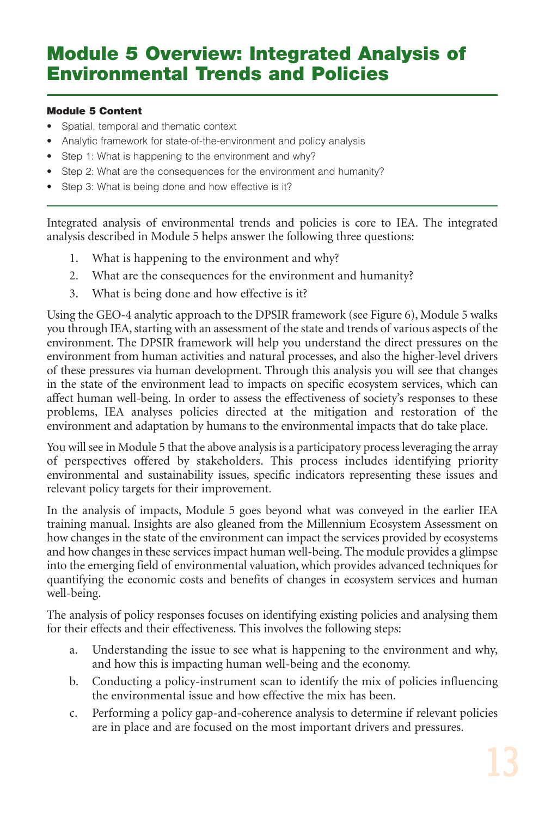## **Module 5 Overview: Integrated Analysis of Environmental Trends and Policies**

### **Module 5 Content**

- Spatial, temporal and thematic context
- Analytic framework for state-of-the-environment and policy analysis
- Step 1: What is happening to the environment and why?
- Step 2: What are the consequences for the environment and humanity?
- Step 3: What is being done and how effective is it?

Integrated analysis of environmental trends and policies is core to IEA. The integrated analysis described in Module 5 helps answer the following three questions:

- 1. What is happening to the environment and why?
- 2. What are the consequences for the environment and humanity?
- 3. What is being done and how effective is it?

Using the GEO-4 analytic approach to the DPSIR framework (see Figure 6), Module 5 walks you through IEA, starting with an assessment of the state and trends of various aspects of the environment. The DPSIR framework will help you understand the direct pressures on the environment from human activities and natural processes, and also the higher-level drivers of these pressures via human development. Through this analysis you will see that changes in the state of the environment lead to impacts on specific ecosystem services, which can affect human well-being. In order to assess the effectiveness of society's responses to these problems, IEA analyses policies directed at the mitigation and restoration of the environment and adaptation by humans to the environmental impacts that do take place.

You will see in Module 5 that the above analysis is a participatory process leveraging the array of perspectives offered by stakeholders. This process includes identifying priority environmental and sustainability issues, specific indicators representing these issues and relevant policy targets for their improvement.

In the analysis of impacts, Module 5 goes beyond what was conveyed in the earlier IEA training manual. Insights are also gleaned from the Millennium Ecosystem Assessment on how changes in the state of the environment can impact the services provided by ecosystems and how changes in these services impact human well-being. The module provides a glimpse into the emerging field of environmental valuation, which provides advanced techniques for quantifying the economic costs and benefits of changes in ecosystem services and human well-being.

The analysis of policy responses focuses on identifying existing policies and analysing them for their effects and their effectiveness. This involves the following steps:

- a. Understanding the issue to see what is happening to the environment and why, and how this is impacting human well-being and the economy.
- b. Conducting a policy-instrument scan to identify the mix of policies influencing the environmental issue and how effective the mix has been.
- c. Performing a policy gap-and-coherence analysis to determine if relevant policies are in place and are focused on the most important drivers and pressures.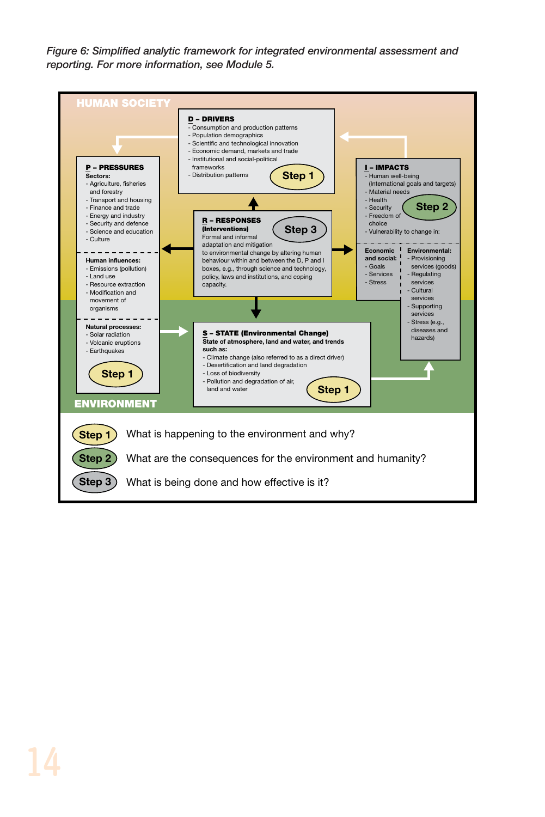*Figure 6: Simplified analytic framework for integrated environmental assessment and reporting. For more information, see Module 5.*

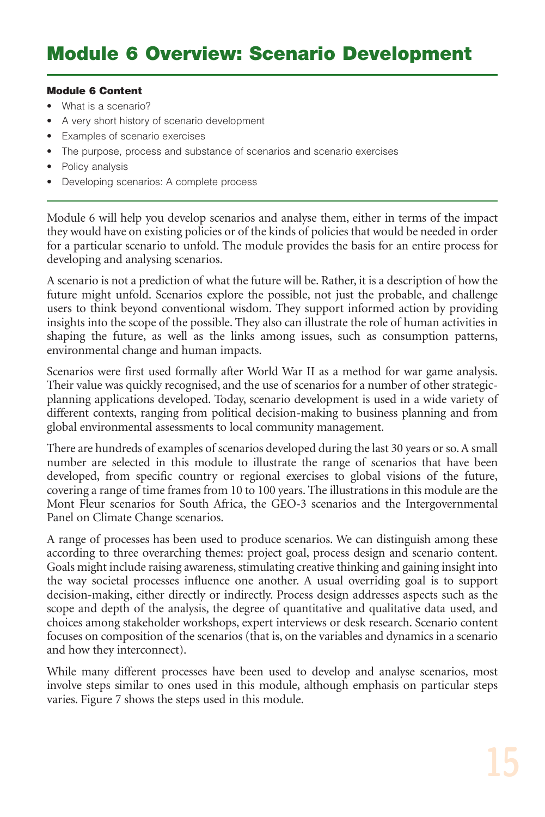#### **Module 6 Content**

- What is a scenario?
- A very short history of scenario development
- Examples of scenario exercises
- The purpose, process and substance of scenarios and scenario exercises
- Policy analysis
- Developing scenarios: A complete process

Module 6 will help you develop scenarios and analyse them, either in terms of the impact they would have on existing policies or of the kinds of policies that would be needed in order for a particular scenario to unfold. The module provides the basis for an entire process for developing and analysing scenarios.

A scenario is not a prediction of what the future will be. Rather, it is a description of how the future might unfold. Scenarios explore the possible, not just the probable, and challenge users to think beyond conventional wisdom. They support informed action by providing insights into the scope of the possible. They also can illustrate the role of human activities in shaping the future, as well as the links among issues, such as consumption patterns, environmental change and human impacts.

Scenarios were first used formally after World War II as a method for war game analysis. Their value was quickly recognised, and the use of scenarios for a number of other strategicplanning applications developed. Today, scenario development is used in a wide variety of different contexts, ranging from political decision-making to business planning and from global environmental assessments to local community management.

There are hundreds of examples of scenarios developed during the last 30 years or so. A small number are selected in this module to illustrate the range of scenarios that have been developed, from specific country or regional exercises to global visions of the future, covering a range of time frames from 10 to 100 years. The illustrations in this module are the Mont Fleur scenarios for South Africa, the GEO-3 scenarios and the Intergovernmental Panel on Climate Change scenarios.

A range of processes has been used to produce scenarios. We can distinguish among these according to three overarching themes: project goal, process design and scenario content. Goals might include raising awareness, stimulating creative thinking and gaining insight into the way societal processes influence one another. A usual overriding goal is to support decision-making, either directly or indirectly. Process design addresses aspects such as the scope and depth of the analysis, the degree of quantitative and qualitative data used, and choices among stakeholder workshops, expert interviews or desk research. Scenario content focuses on composition of the scenarios (that is, on the variables and dynamics in a scenario and how they interconnect).

While many different processes have been used to develop and analyse scenarios, most involve steps similar to ones used in this module, although emphasis on particular steps varies. Figure 7 shows the steps used in this module.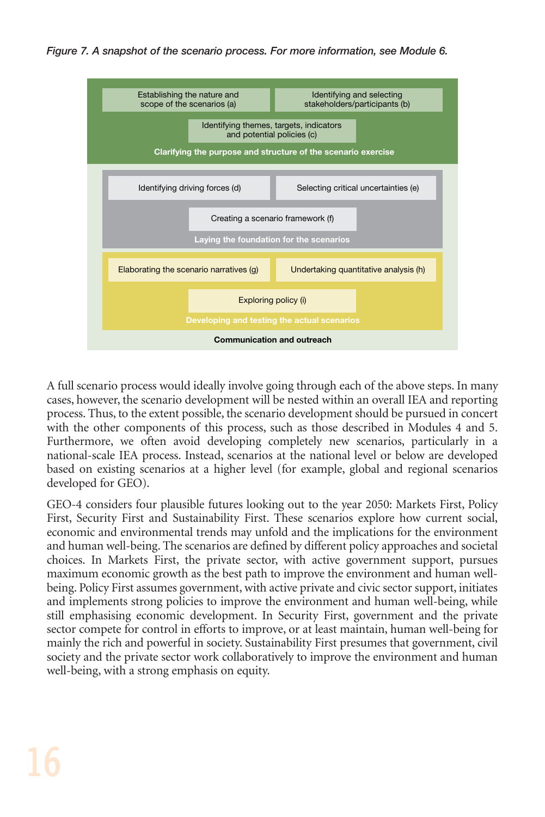*Figure 7. A snapshot of the scenario process. For more information, see Module 6.*



A full scenario process would ideally involve going through each of the above steps. In many cases, however, the scenario development will be nested within an overall IEA and reporting process. Thus, to the extent possible, the scenario development should be pursued in concert with the other components of this process, such as those described in Modules 4 and 5. Furthermore, we often avoid developing completely new scenarios, particularly in a national-scale IEA process. Instead, scenarios at the national level or below are developed based on existing scenarios at a higher level (for example, global and regional scenarios developed for GEO).

GEO-4 considers four plausible futures looking out to the year 2050: Markets First, Policy First, Security First and Sustainability First. These scenarios explore how current social, economic and environmental trends may unfold and the implications for the environment and human well-being. The scenarios are defined by different policy approaches and societal choices. In Markets First, the private sector, with active government support, pursues maximum economic growth as the best path to improve the environment and human wellbeing. Policy First assumes government, with active private and civic sector support, initiates and implements strong policies to improve the environment and human well-being, while still emphasising economic development. In Security First, government and the private sector compete for control in efforts to improve, or at least maintain, human well-being for mainly the rich and powerful in society. Sustainability First presumes that government, civil society and the private sector work collaboratively to improve the environment and human well-being, with a strong emphasis on equity.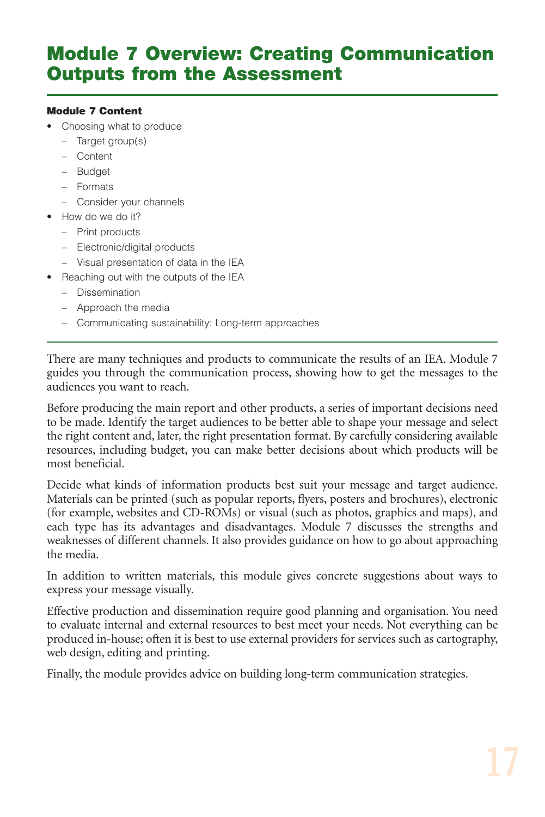## **Module 7 Overview: Creating Communication Outputs from the Assessment**

#### **Module 7 Content**

- Choosing what to produce
	- Target group(s)
	- Content
	- Budget
	- Formats
	- Consider your channels
- How do we do it?
	- Print products
	- Electronic/digital products
	- Visual presentation of data in the IEA
- Reaching out with the outputs of the IEA
	- Dissemination
	- Approach the media
	- Communicating sustainability: Long-term approaches

There are many techniques and products to communicate the results of an IEA. Module 7 guides you through the communication process, showing how to get the messages to the audiences you want to reach.

Before producing the main report and other products, a series of important decisions need to be made. Identify the target audiences to be better able to shape your message and select the right content and, later, the right presentation format. By carefully considering available resources, including budget, you can make better decisions about which products will be most beneficial.

Decide what kinds of information products best suit your message and target audience. Materials can be printed (such as popular reports, flyers, posters and brochures), electronic (for example, websites and CD-ROMs) or visual (such as photos, graphics and maps), and each type has its advantages and disadvantages. Module 7 discusses the strengths and weaknesses of different channels. It also provides guidance on how to go about approaching the media.

In addition to written materials, this module gives concrete suggestions about ways to express your message visually.

Effective production and dissemination require good planning and organisation. You need to evaluate internal and external resources to best meet your needs. Not everything can be produced in-house; often it is best to use external providers for services such as cartography, web design, editing and printing.

Finally, the module provides advice on building long-term communication strategies.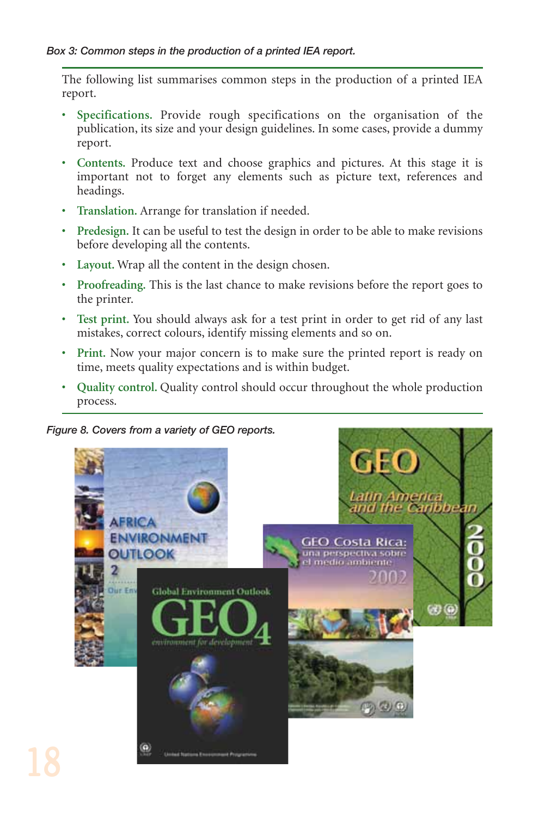The following list summarises common steps in the production of a printed IEA report.

- **Specifications.** Provide rough specifications on the organisation of the publication, its size and your design guidelines. In some cases, provide a dummy report.
- **Contents.** Produce text and choose graphics and pictures. At this stage it is important not to forget any elements such as picture text, references and headings.
- **Translation.** Arrange for translation if needed.
- **Predesign.** It can be useful to test the design in order to be able to make revisions before developing all the contents.
- **Layout.** Wrap all the content in the design chosen.
- **Proofreading.** This is the last chance to make revisions before the report goes to the printer.
- **Test print.** You should always ask for a test print in order to get rid of any last mistakes, correct colours, identify missing elements and so on.
- **Print.** Now your major concern is to make sure the printed report is ready on time, meets quality expectations and is within budget.
- **Quality control.** Quality control should occur throughout the whole production process.

*Figure 8. Covers from a variety of GEO reports.*

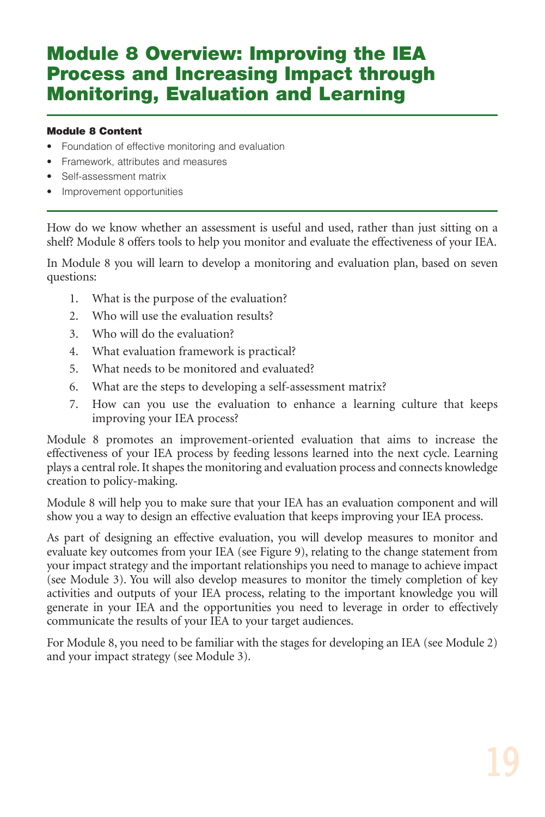## **Module 8 Overview: Improving the IEA Process and Increasing Impact through Monitoring, Evaluation and Learning**

### **Module 8 Content**

- Foundation of effective monitoring and evaluation
- Framework, attributes and measures
- Self-assessment matrix
- Improvement opportunities

How do we know whether an assessment is useful and used, rather than just sitting on a shelf? Module 8 offers tools to help you monitor and evaluate the effectiveness of your IEA.

In Module 8 you will learn to develop a monitoring and evaluation plan, based on seven questions:

- 1. What is the purpose of the evaluation?
- 2. Who will use the evaluation results?
- 3. Who will do the evaluation?
- 4. What evaluation framework is practical?
- 5. What needs to be monitored and evaluated?
- 6. What are the steps to developing a self-assessment matrix?
- 7. How can you use the evaluation to enhance a learning culture that keeps improving your IEA process?

Module 8 promotes an improvement-oriented evaluation that aims to increase the effectiveness of your IEA process by feeding lessons learned into the next cycle. Learning plays a central role. It shapes the monitoring and evaluation process and connects knowledge creation to policy-making.

Module 8 will help you to make sure that your IEA has an evaluation component and will show you a way to design an effective evaluation that keeps improving your IEA process.

As part of designing an effective evaluation, you will develop measures to monitor and evaluate key outcomes from your IEA (see Figure 9), relating to the change statement from your impact strategy and the important relationships you need to manage to achieve impact (see Module 3). You will also develop measures to monitor the timely completion of key activities and outputs of your IEA process, relating to the important knowledge you will generate in your IEA and the opportunities you need to leverage in order to effectively communicate the results of your IEA to your target audiences.

For Module 8, you need to be familiar with the stages for developing an IEA (see Module 2) and your impact strategy (see Module 3).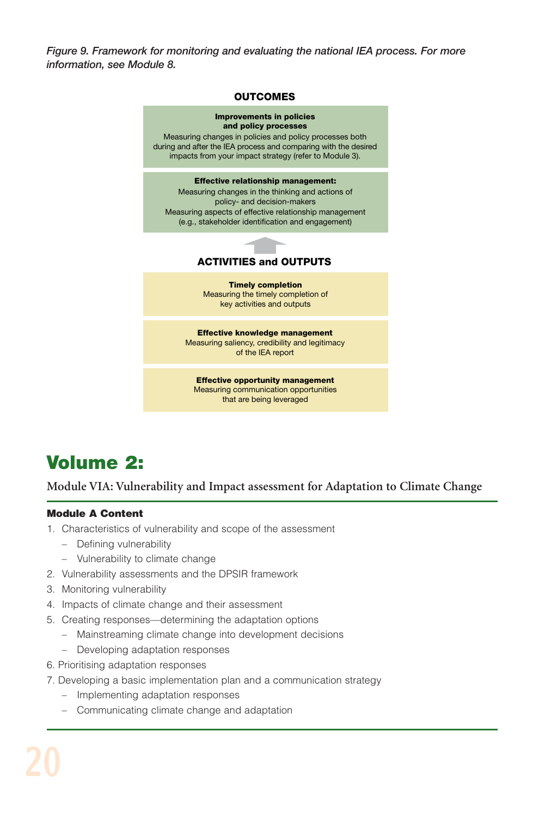*Figure 9. Framework for monitoring and evaluating the national IEA process. For more information, see Module 8.*



## **Volume 2:**

**Module VIA: Vulnerability and Impact assessment for Adaptation to Climate Change**

### **Module A Content**

- 1. Characteristics of vulnerability and scope of the assessment
	- Defining vulnerability
	- Vulnerability to climate change
- 2. Vulnerability assessments and the DPSIR framework
- 3. Monitoring vulnerability
- 4. Impacts of climate change and their assessment
- 5. Creating responses—determining the adaptation options
	- Mainstreaming climate change into development decisions
	- Developing adaptation responses
- 6. Prioritising adaptation responses
- 7. Developing a basic implementation plan and a communication strategy
	- Implementing adaptation responses
	- Communicating climate change and adaptation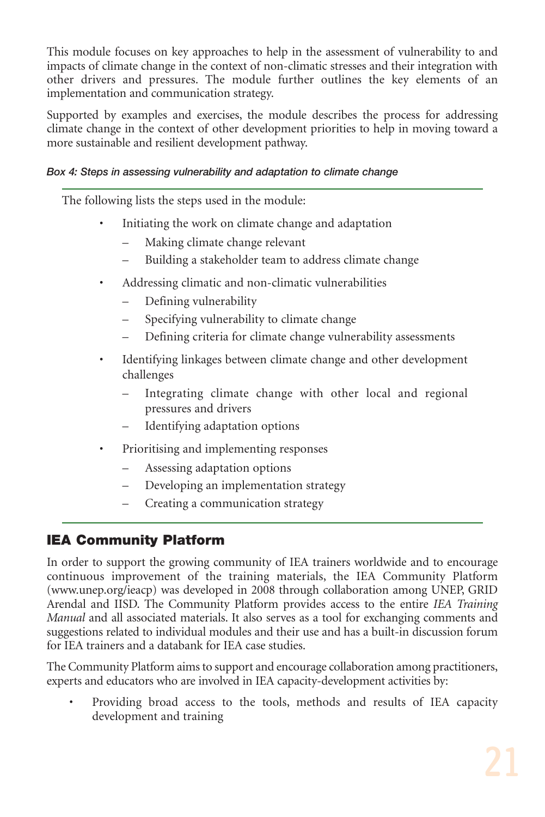This module focuses on key approaches to help in the assessment of vulnerability to and impacts of climate change in the context of non-climatic stresses and their integration with other drivers and pressures. The module further outlines the key elements of an implementation and communication strategy.

Supported by examples and exercises, the module describes the process for addressing climate change in the context of other development priorities to help in moving toward a more sustainable and resilient development pathway.

### *Box 4: Steps in assessing vulnerability and adaptation to climate change*

The following lists the steps used in the module:

- Initiating the work on climate change and adaptation
	- Making climate change relevant
	- Building a stakeholder team to address climate change
- Addressing climatic and non-climatic vulnerabilities
	- Defining vulnerability
	- Specifying vulnerability to climate change
	- Defining criteria for climate change vulnerability assessments
- Identifying linkages between climate change and other development challenges
	- Integrating climate change with other local and regional pressures and drivers
	- Identifying adaptation options
- Prioritising and implementing responses
	- Assessing adaptation options
	- Developing an implementation strategy
	- Creating a communication strategy

## **IEA Community Platform**

In order to support the growing community of IEA trainers worldwide and to encourage continuous improvement of the training materials, the IEA Community Platform (www.unep.org/ieacp) was developed in 2008 through collaboration among UNEP, GRID Arendal and IISD. The Community Platform provides access to the entire *IEA Training Manual* and all associated materials. It also serves as a tool for exchanging comments and suggestions related to individual modules and their use and has a built-in discussion forum for IEA trainers and a databank for IEA case studies.

The Community Platform aims to support and encourage collaboration among practitioners, experts and educators who are involved in IEA capacity-development activities by:

• Providing broad access to the tools, methods and results of IEA capacity development and training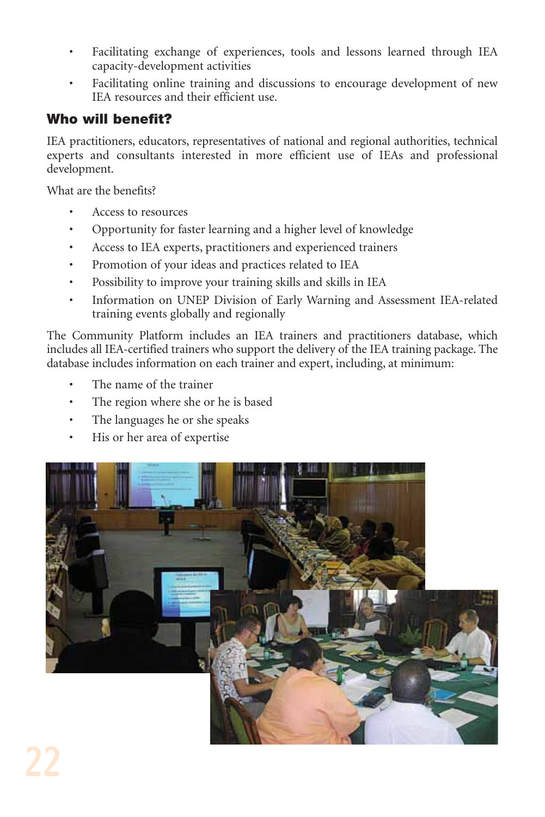- Facilitating exchange of experiences, tools and lessons learned through IEA capacity-development activities
- Facilitating online training and discussions to encourage development of new IEA resources and their efficient use.

## **Who will benefit?**

IEA practitioners, educators, representatives of national and regional authorities, technical experts and consultants interested in more efficient use of IEAs and professional development.

What are the benefits?

- Access to resources
- Opportunity for faster learning and a higher level of knowledge
- Access to IEA experts, practitioners and experienced trainers
- Promotion of your ideas and practices related to IEA
- Possibility to improve your training skills and skills in IEA
- Information on UNEP Division of Early Warning and Assessment IEA-related training events globally and regionally

The Community Platform includes an IEA trainers and practitioners database, which includes all IEA-certified trainers who support the delivery of the IEA training package. The database includes information on each trainer and expert, including, at minimum:

- The name of the trainer
- The region where she or he is based
- The languages he or she speaks
- His or her area of expertise

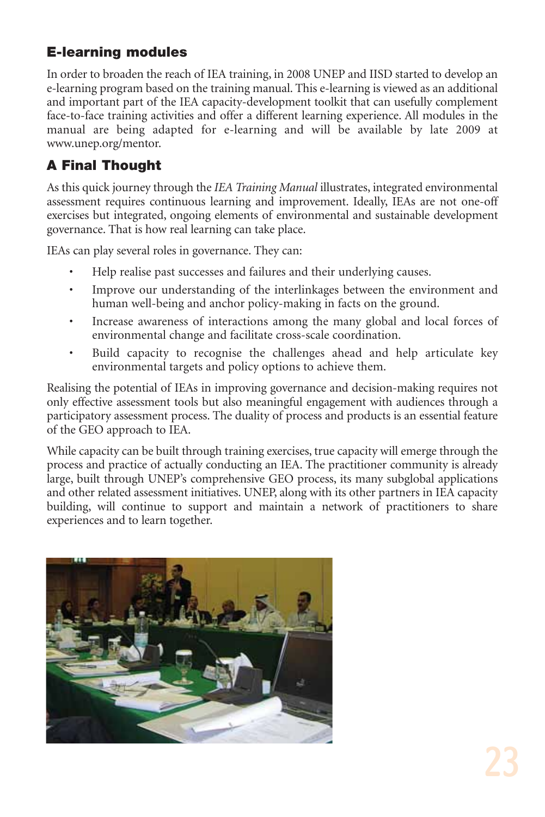## **E-learning modules**

In order to broaden the reach of IEA training, in 2008 UNEP and IISD started to develop an e-learning program based on the training manual. This e-learning is viewed as an additional and important part of the IEA capacity-development toolkit that can usefully complement face-to-face training activities and offer a different learning experience. All modules in the manual are being adapted for e-learning and will be available by late 2009 at www.unep.org/mentor.

## **A Final Thought**

As this quick journey through the *IEA Training Manual* illustrates, integrated environmental assessment requires continuous learning and improvement. Ideally, IEAs are not one-off exercises but integrated, ongoing elements of environmental and sustainable development governance. That is how real learning can take place.

IEAs can play several roles in governance. They can:

- Help realise past successes and failures and their underlying causes.
- Improve our understanding of the interlinkages between the environment and human well-being and anchor policy-making in facts on the ground.
- Increase awareness of interactions among the many global and local forces of environmental change and facilitate cross-scale coordination.
- Build capacity to recognise the challenges ahead and help articulate key environmental targets and policy options to achieve them.

Realising the potential of IEAs in improving governance and decision-making requires not only effective assessment tools but also meaningful engagement with audiences through a participatory assessment process. The duality of process and products is an essential feature of the GEO approach to IEA.

While capacity can be built through training exercises, true capacity will emerge through the process and practice of actually conducting an IEA. The practitioner community is already large, built through UNEP's comprehensive GEO process, its many subglobal applications and other related assessment initiatives. UNEP, along with its other partners in IEA capacity building, will continue to support and maintain a network of practitioners to share experiences and to learn together.